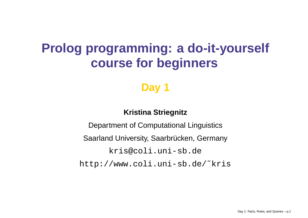# **Prolog programming: <sup>a</sup> do-it-yourself course for beginners**

# **Day 1**

### **Kristina Striegnitz**

Department of Computational Linguistics Saarland University, Saarbrücken, Germany <kris@coli.uni-sb.de> [http://www.coli.uni-sb.de/˜kris](http://www.coli.uni-sb.de/~kris)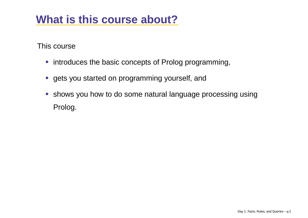# **What is this course about?**

This course

- introduces the basic concepts of Prolog programming,
- gets you started on programming yourself, and
- shows you how to do some natural language processing using Prolog.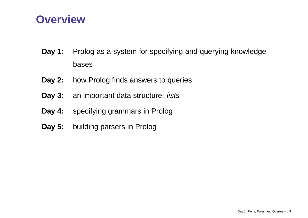### **Overview**

- **Day 1:** Prolog as <sup>a</sup> system for specifying and querying knowledge bases
- **Day 2:** how Prolog finds answers to queries
- **Day 3:** an important data structure: lists
- **Day 4:** specifying grammars in Prolog
- **Day 5:** building parsers in Prolog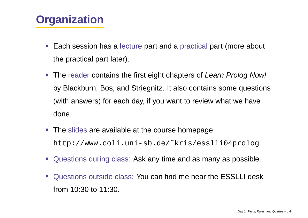# **Organization**

- Each session has <sup>a</sup> lecture part and <sup>a</sup> practical part (more about the practical part later).
- The reader contains the first eight chapters of Learn Prolog Now! by Blackburn, Bos, and Striegnitz. It also contains some questions (with answers) for each day, if you want to review what we have done.
- The slides are available at the course homepage [http://www.coli.uni-sb.de/˜kris/esslli04prolog](http://www.coli.uni-sb.de/~kris/esslli04prolog).
- Questions during class: Ask any time and as many as possible.
- Questions outside class: You can find me near the ESSLLI desk from 10:30 to 11:30.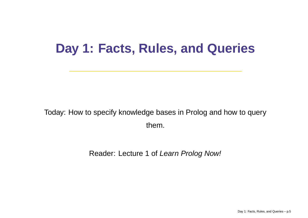# **Day 1: Facts, Rules, and Queries**

Today: How to specify knowledge bases in Prolog and how to query them.

Reader: Lecture 1 of *Learn Prolog Now!*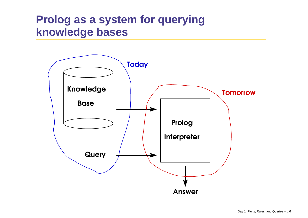# **Prolog as <sup>a</sup> system for querying knowledge bases**

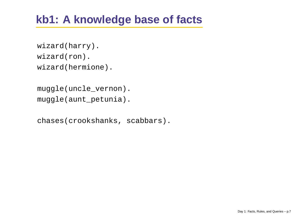# **kb1: A knowledge base of facts**

```
wizard(harry).
wizard(ron).
wizard(hermione).
```

```
muggle(uncle_vernon).
muggle(aunt_petunia).
```

```
chases(crookshanks, scabbars).
```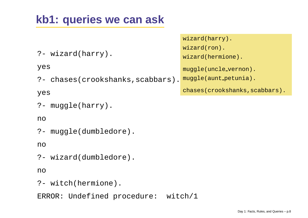# **kb1: queries we can ask**

|                                   | wizard(harry).                 |
|-----------------------------------|--------------------------------|
|                                   | $wizard(ron)$ .                |
| ?- wizard(harry).                 | wizard(hermione).              |
| yes                               | muggle(uncle_vernon).          |
| ?- chases(crookshanks, scabbars). | muggle(aunt_petunia).          |
| yes                               | chases(crookshanks, scabbars). |
| ?- $muggle(harry)$ .              |                                |

#### no

|  | ?- muggle(dumbledore). |
|--|------------------------|
|  |                        |

no

?- wizard(dumbledore).

no

?- witch(hermione).

ERROR: Undefined procedure: witch/1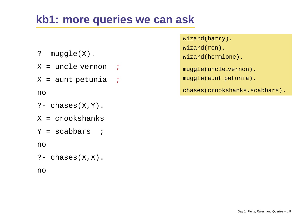# **kb1: more queries we can ask**

- ?- muggle(X).
- X <sup>=</sup> uncle vernon ;
- X = aunt\_petunia *;*

no

- ?- chases(X,Y).
- X <sup>=</sup> crookshanks
- Y <sup>=</sup> scabbars ;

no

?- chases(X,X).

no

- wizard(harry).
- wizard(ron).
- wizard(hermione).
- muggle(uncle vernon).
- muggle(aunt\_petunia).

chases(crookshanks, scabbars).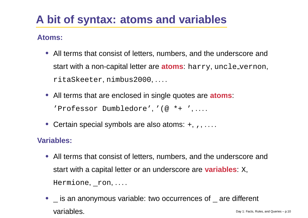# **A bit of syntax: atoms and variables**

#### **Atoms:**

- All terms that consist of letters, numbers, and the underscore and start with <sup>a</sup> non-capital letter are **atoms**: harry, uncle vernon, ritaSkeeter, nimbus2000, . . . .
- All terms that are enclosed in single quotes are **atoms**: 'Professor Dumbledore', '(@ \*+ ', . . . .
- Certain special symbols are also atoms: +, ,, ....

### **Variables:**

- All terms that consist of letters, numbers, and the underscore and start with <sup>a</sup> capital letter or an underscore are **variables**: <sup>X</sup>,  $Hermione, *con*, ...$
- $\bullet$   $\_$  is an anonymous variable: two occurrences of  $\_$  are different Variables. Day 1: Facts, Rules, and Queries – p.10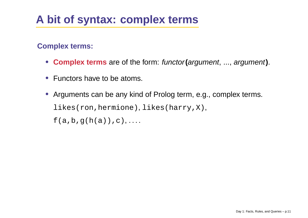# **A bit of syntax: complex terms**

### **Complex terms:**

- **Complex terms** are of the form: functor**(**argument, ..., argument**)**.
- Functors have to be atoms.
- Arguments can be any kind of Prolog term, e.g., complex terms. likes(ron,hermione), likes(harry,X),  $f(a,b,q(h(a)),c), \ldots$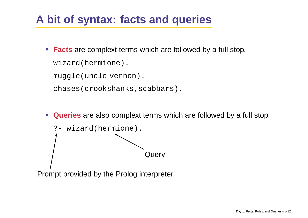# **A bit of syntax: facts and queries**

• **Facts** are complext terms which are followed by <sup>a</sup> full stop. wizard(hermione).

muggle(uncle vernon).

chases(crookshanks, scabbars).

• **Queries** are also complext terms which are followed by <sup>a</sup> full stop.



Prompt provided by the Prolog interpreter.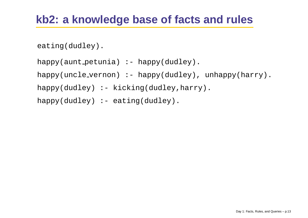```
eating(dudley).
```

```
happy(aunt petunia) :- happy(dudley).
happy(uncle_vernon) :- happy(dudley), unhappy(harry).
happy(dudley) :- kicking(dudley, harry).
happy(dudley) :- eating(dudley).
```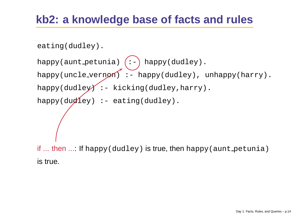```
eating(dudley).
```

```
happy(aunt_petunia) (:-) happy(dudley).
happy(uncle_vernon) :- happy(dudley), unhappy(harry).
happy(dudley): - kicking(dudley, harry).
happy(dudley) :- eating(dudley).
if ... then ...: If {\rm happy}(dudley) is true, then {\rm happy}(aunt petunia)
is true.
```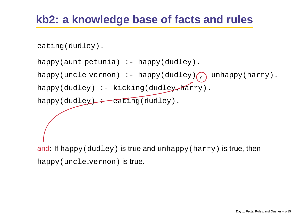```
eating(dudley).
```

```
happy(aunt petunia) :- happy(dudley).
happy(uncle_vernon) :- happy(dudley)\bigcap unhappy(harry).
happy(dudley) :- kicking(dudley, harry).
happy(dudley) : eating(dudley).
```
and: If happy(dudley) is true and unhappy(harry) is true, then happy(uncle vernon) is true.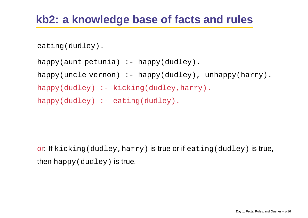```
eating(dudley).
```

```
happy(aunt petunia) :- happy(dudley).
happy(uncle_vernon) :- happy(dudley), unhappy(harry).
happy(dudley) :- kicking(dudley, harry).
happy(dudley) :- eating(dudley).
```
**or**: **If** kicking(dudley,harry) **is true or if** eating(dudley) **is true**, then happy(dudley) is true.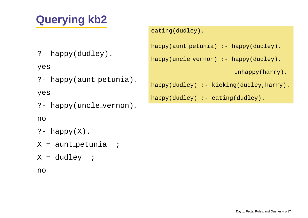# **Querying kb2**

?- happy(dudley).

yes

?- happy(aunt petunia).

yes

?- happy(uncle vernon).

#### no

- ?- happy(X).
- X = aunt\_petunia *;*
- X <sup>=</sup> dudley ;

```
no
```
#### eating(dudley).

```
happy(aunt_petunia) :- happy(dudley).
```

```
happy(uncle_vernon) :- happy(dudley),
```

```
unhappy(harry).
```

```
happy(dudley) :- kicking(dudley, harry).
```

```
happy(dudley) :- eating(dudley).
```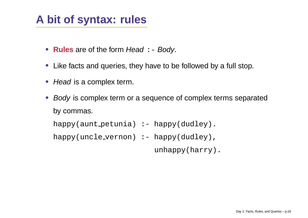# **A bit of syntax: rules**

- **Rules** are of the form Head : Body.
- Like facts and queries, they have to be followed by <sup>a</sup> full stop.
- Head is a complex term.
- Body is complex term or a sequence of complex terms separated by commas.

```
happy(aunt petunia) :- happy(dudley).
```

```
happy(uncle_vernon) :- happy(dudley),
```
unhappy(harry).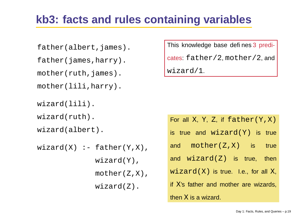# **kb3: facts and rules containing variables**

father(albert,james).

father(james,harry).

mother(ruth,james).

mother(lili,harry).

wizard(lili).

wizard(ruth).

wizard(albert).

```
wizard(X) :- father(Y,X),wizard(Y),
             mother(Z,X),
             wizard(Z).
```
This knowledge base defines 3 predicates: father/2, mother/2, and wizard/1.

| For all X, Y, Z, if $father(Y, X)$    |  |  |  |
|---------------------------------------|--|--|--|
| is true and wizard(Y) is true         |  |  |  |
| and $mother(Z, X)$ is true            |  |  |  |
| and $wizard(Z)$ is true, then         |  |  |  |
| $wizard(X)$ is true. I.e., for all X, |  |  |  |
| if X's father and mother are wizards, |  |  |  |
| then X is a wizard.                   |  |  |  |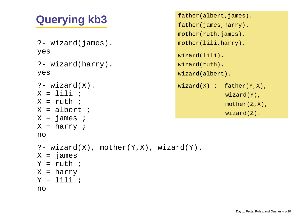# **Querying kb3** father(albert, james).

```
?- wizard(james).
yes
?- wizard(harry).
yes
?- wizard(X).
X = lili ;
\mathrm{X} = ruth ;
X = albert ;
X = james ;
X = harry ;
no?- wizard(X), mother(Y,X), wizard(Y).
X = james
Y = ruth ;
X = harry
Y = lili ;
no
```

```
mother(ruth,james).
mother(lili,harry).
wizard(lili).
wizard(ruth).
wizard(albert).
wizard(X) :- father(Y,X),
             wizard(Y),
             mother(Z,X),
             wizard(Z).
```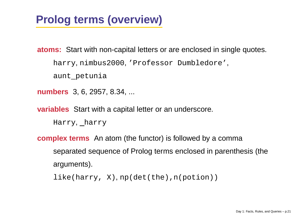# **Prolog terms (overview)**

**atoms:** Start with non-capital letters or are enclosed in single quotes. harry, nimbus2000, 'Professor Dumbledore', aunt petunia

**numbers** 3, 6, 2957, 8.34, ...

**variables** Start with <sup>a</sup> capital letter or an underscore.

Harry, harry

**complex terms** An atom (the functor) is followed by <sup>a</sup> comma separated sequence of Prolog terms enclosed in parenthesis (the arguments).

like(harry, X), np(det(the),n(potion))